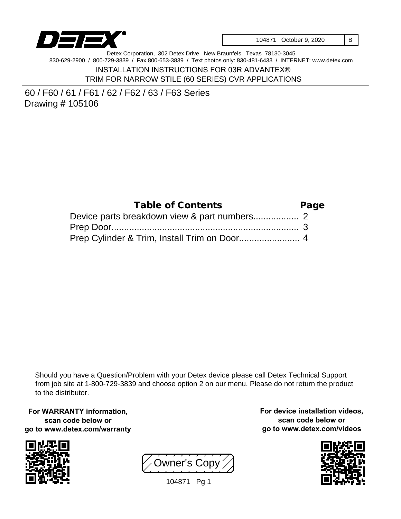

| 104871 October 9, 2020 | $\vert$ B |  |
|------------------------|-----------|--|
|------------------------|-----------|--|

Detex Corporation, 302 Detex Drive, New Braunfels, Texas 78130-3045 830-629-2900 / 800-729-3839 / Fax 800-653-3839 / Text photos only: 830-481-6433 / INTERNET: www.detex.com

> INSTALLATION INSTRUCTIONS FOR 03R ADVANTEX® TRIM FOR NARROW STILE (60 SERIES) CVR APPLICATIONS

60 / F60 / 61 / F61 / 62 / F62 / 63 / F63 Series Drawing # 105106

| Table of Contents | Page |
|-------------------|------|
|                   |      |
|                   |      |
|                   |      |

Should you have a Question/Problem with your Detex device please call Detex Technical Support from job site at 1-800-729-3839 and choose option 2 on our menu. Please do not return the product to the distributor.

**For WARRANTY information, scan code below or go to www.detex.com/warranty**



Owner's Copy

104871 Pg 1

**For device installation videos, scan code below or go to www.detex.com/videos**

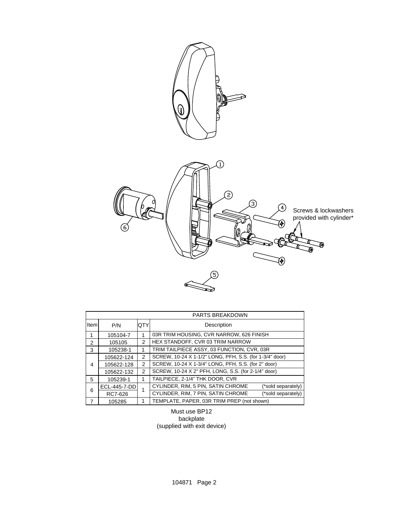

| PARTS BREAKDOWN |              |                |                                                          |  |
|-----------------|--------------|----------------|----------------------------------------------------------|--|
| Item            | P/N          | <b>OTY</b>     | Description                                              |  |
|                 | 105104-7     |                | 03R TRIM HOUSING, CVR NARROW, 626 FINISH                 |  |
| 2               | 105105       | $\mathfrak{p}$ | HEX STANDOFF, CVR 03 TRIM NARROW                         |  |
| 3               | 105238-1     |                | TRIM TAILPIECE ASSY, 03 FUNCTION, CVR, 03R               |  |
|                 | 105622-124   | $\mathfrak{p}$ | SCREW, 10-24 X 1-1/2" LONG, PFH, S.S. (for 1-3/4" door)  |  |
| 4               | 105622-128   | 2              | SCREW, 10-24 X 1-3/4" LONG, PFH, S.S. (for 2" door)      |  |
|                 | 105622-132   | $\mathfrak{p}$ | SCREW, 10-24 X 2" PFH, LONG, S.S. (for 2-1/4" door)      |  |
| 5               | 105239-1     |                | TAILPIECE, 2-1/4" THK DOOR, CVR                          |  |
| 6               | ECL-445-7-DD |                | CYLINDER, RIM, 5 PIN, SATIN CHROME<br>(*sold separately) |  |
|                 | RC7-626      |                | CYLINDER, RIM, 7 PIN, SATIN CHROME<br>(*sold separately) |  |
| 7               | 105285       |                | TEMPLATE, PAPER, 03R TRIM PREP (not shown)               |  |

Must use BP12 backplate (supplied with exit device)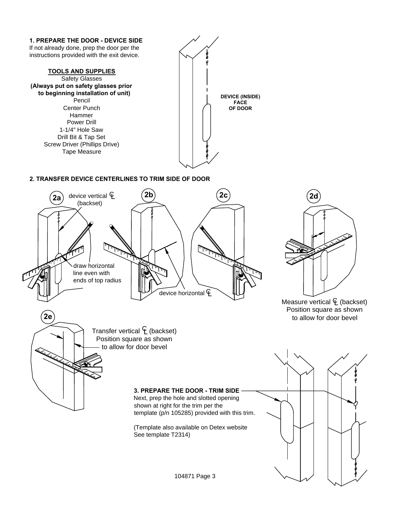